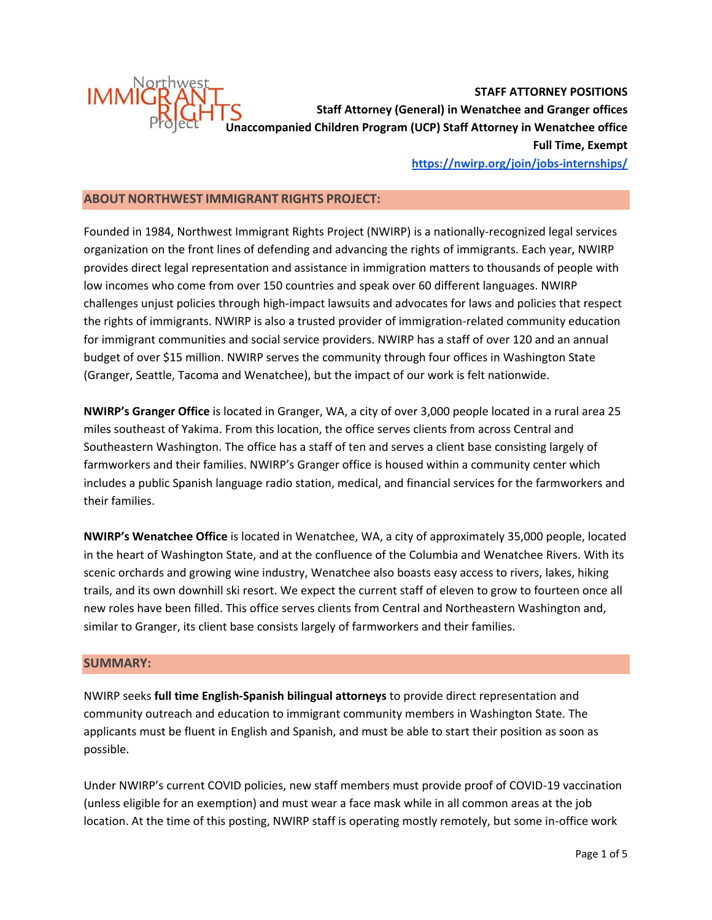

**STAFF ATTORNEY POSITIONS Staff Attorney (General) in Wenatchee and Granger offices Unaccompanied Children Program (UCP) Staff Attorney in Wenatchee office Full Time, Exempt <https://nwirp.org/join/jobs-internships/>**

### **ABOUT NORTHWEST IMMIGRANT RIGHTS PROJECT:**

Founded in 1984, Northwest Immigrant Rights Project (NWIRP) is a nationally-recognized legal services organization on the front lines of defending and advancing the rights of immigrants. Each year, NWIRP provides direct legal representation and assistance in immigration matters to thousands of people with low incomes who come from over 150 countries and speak over 60 different languages. NWIRP challenges unjust policies through high-impact lawsuits and advocates for laws and policies that respect the rights of immigrants. NWIRP is also a trusted provider of immigration-related community education for immigrant communities and social service providers. NWIRP has a staff of over 120 and an annual budget of over \$15 million. NWIRP serves the community through four offices in Washington State (Granger, Seattle, Tacoma and Wenatchee), but the impact of our work is felt nationwide.

**NWIRP's Granger Office** is located in Granger, WA, a city of over 3,000 people located in a rural area 25 miles southeast of Yakima. From this location, the office serves clients from across Central and Southeastern Washington. The office has a staff of ten and serves a client base consisting largely of farmworkers and their families. NWIRP's Granger office is housed within a community center which includes a public Spanish language radio station, medical, and financial services for the farmworkers and their families.

**NWIRP's Wenatchee Office** is located in Wenatchee, WA, a city of approximately 35,000 people, located in the heart of Washington State, and at the confluence of the Columbia and Wenatchee Rivers. With its scenic orchards and growing wine industry, Wenatchee also boasts easy access to rivers, lakes, hiking trails, and its own downhill ski resort. We expect the current staff of eleven to grow to fourteen once all new roles have been filled. This office serves clients from Central and Northeastern Washington and, similar to Granger, its client base consists largely of farmworkers and their families.

#### **SUMMARY:**

NWIRP seeks **full time English-Spanish bilingual attorneys** to provide direct representation and community outreach and education to immigrant community members in Washington State. The applicants must be fluent in English and Spanish, and must be able to start their position as soon as possible.

Under NWIRP's current COVID policies, new staff members must provide proof of COVID-19 vaccination (unless eligible for an exemption) and must wear a face mask while in all common areas at the job location. At the time of this posting, NWIRP staff is operating mostly remotely, but some in-office work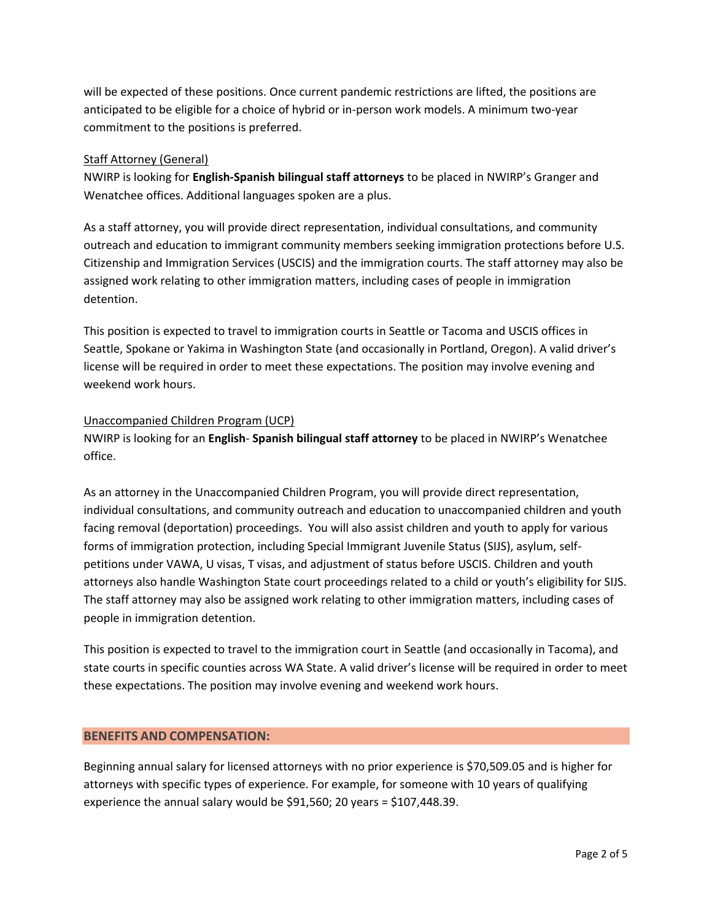will be expected of these positions. Once current pandemic restrictions are lifted, the positions are anticipated to be eligible for a choice of hybrid or in-person work models. A minimum two-year commitment to the positions is preferred.

# Staff Attorney (General)

NWIRP is looking for **English-Spanish bilingual staff attorneys** to be placed in NWIRP's Granger and Wenatchee offices. Additional languages spoken are a plus.

As a staff attorney, you will provide direct representation, individual consultations, and community outreach and education to immigrant community members seeking immigration protections before U.S. Citizenship and Immigration Services (USCIS) and the immigration courts. The staff attorney may also be assigned work relating to other immigration matters, including cases of people in immigration detention.

This position is expected to travel to immigration courts in Seattle or Tacoma and USCIS offices in Seattle, Spokane or Yakima in Washington State (and occasionally in Portland, Oregon). A valid driver's license will be required in order to meet these expectations. The position may involve evening and weekend work hours.

# Unaccompanied Children Program (UCP)

NWIRP is looking for an **English**- **Spanish bilingual staff attorney** to be placed in NWIRP's Wenatchee office.

As an attorney in the Unaccompanied Children Program, you will provide direct representation, individual consultations, and community outreach and education to unaccompanied children and youth facing removal (deportation) proceedings. You will also assist children and youth to apply for various forms of immigration protection, including Special Immigrant Juvenile Status (SIJS), asylum, selfpetitions under VAWA, U visas, T visas, and adjustment of status before USCIS. Children and youth attorneys also handle Washington State court proceedings related to a child or youth's eligibility for SIJS. The staff attorney may also be assigned work relating to other immigration matters, including cases of people in immigration detention.

This position is expected to travel to the immigration court in Seattle (and occasionally in Tacoma), and state courts in specific counties across WA State. A valid driver's license will be required in order to meet these expectations. The position may involve evening and weekend work hours.

# **BENEFITS AND COMPENSATION:**

Beginning annual salary for licensed attorneys with no prior experience is \$70,509.05 and is higher for attorneys with specific types of experience. For example, for someone with 10 years of qualifying experience the annual salary would be \$91,560; 20 years = \$107,448.39.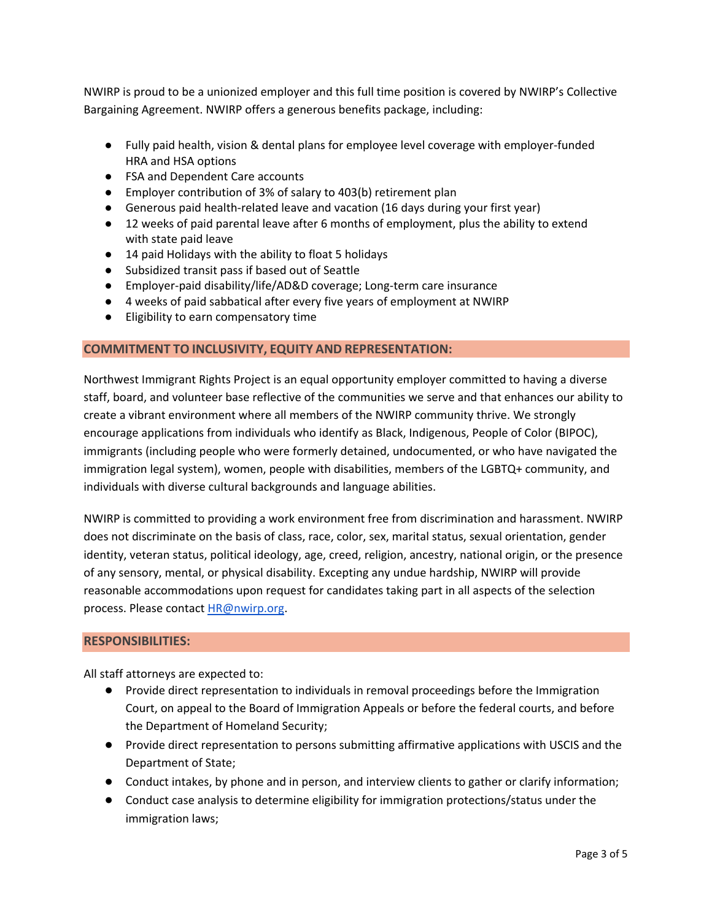NWIRP is proud to be a unionized employer and this full time position is covered by NWIRP's Collective Bargaining Agreement. NWIRP offers a generous benefits package, including:

- Fully paid health, vision & dental plans for employee level coverage with employer-funded HRA and HSA options
- FSA and Dependent Care accounts
- Employer contribution of 3% of salary to 403(b) retirement plan
- Generous paid health-related leave and vacation (16 days during your first year)
- 12 weeks of paid parental leave after 6 months of employment, plus the ability to extend with state paid leave
- 14 paid Holidays with the ability to float 5 holidays
- Subsidized transit pass if based out of Seattle
- Employer-paid disability/life/AD&D coverage; Long-term care insurance
- 4 weeks of paid sabbatical after every five years of employment at NWIRP
- Eligibility to earn compensatory time

### **COMMITMENT TO INCLUSIVITY, EQUITY AND REPRESENTATION:**

Northwest Immigrant Rights Project is an equal opportunity employer committed to having a diverse staff, board, and volunteer base reflective of the communities we serve and that enhances our ability to create a vibrant environment where all members of the NWIRP community thrive. We strongly encourage applications from individuals who identify as Black, Indigenous, People of Color (BIPOC), immigrants (including people who were formerly detained, undocumented, or who have navigated the immigration legal system), women, people with disabilities, members of the LGBTQ+ community, and individuals with diverse cultural backgrounds and language abilities.

NWIRP is committed to providing a work environment free from discrimination and harassment. NWIRP does not discriminate on the basis of class, race, color, sex, marital status, sexual orientation, gender identity, veteran status, political ideology, age, creed, religion, ancestry, national origin, or the presence of any sensory, mental, or physical disability. Excepting any undue hardship, NWIRP will provide reasonable accommodations upon request for candidates taking part in all aspects of the selection process. Please contac[t HR@nwirp.org.](mailto:HR@nwirp.org)

#### **RESPONSIBILITIES:**

All staff attorneys are expected to:

- Provide direct representation to individuals in removal proceedings before the Immigration Court, on appeal to the Board of Immigration Appeals or before the federal courts, and before the Department of Homeland Security;
- Provide direct representation to persons submitting affirmative applications with USCIS and the Department of State;
- Conduct intakes, by phone and in person, and interview clients to gather or clarify information;
- Conduct case analysis to determine eligibility for immigration protections/status under the immigration laws;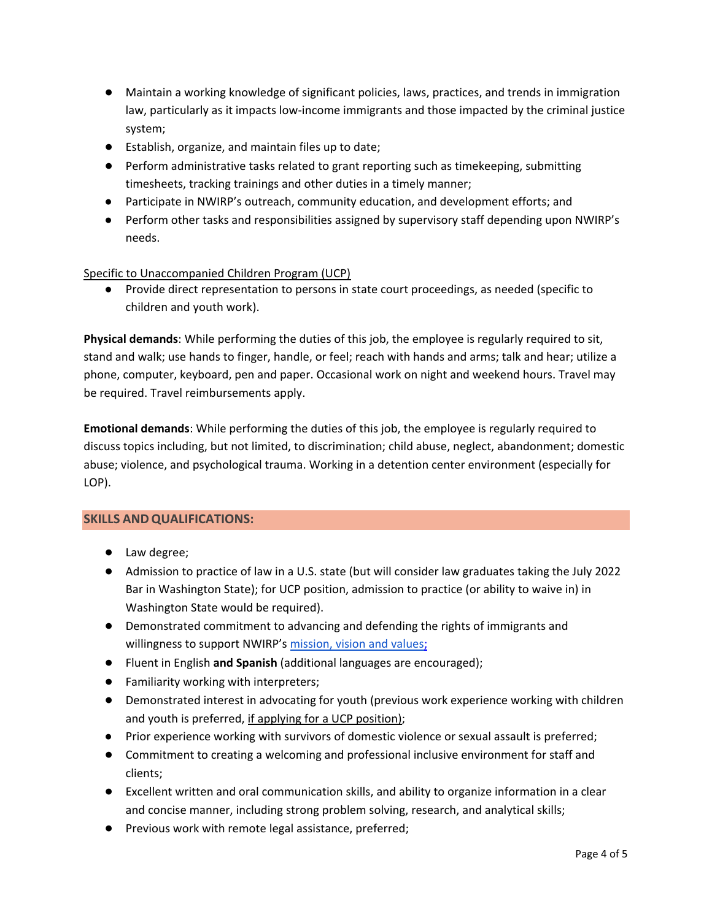- Maintain a working knowledge of significant policies, laws, practices, and trends in immigration law, particularly as it impacts low-income immigrants and those impacted by the criminal justice system;
- Establish, organize, and maintain files up to date;
- Perform administrative tasks related to grant reporting such as timekeeping, submitting timesheets, tracking trainings and other duties in a timely manner;
- Participate in NWIRP's outreach, community education, and development efforts; and
- Perform other tasks and responsibilities assigned by supervisory staff depending upon NWIRP's needs.

# Specific to Unaccompanied Children Program (UCP)

● Provide direct representation to persons in state court proceedings, as needed (specific to children and youth work).

**Physical demands**: While performing the duties of this job, the employee is regularly required to sit, stand and walk; use hands to finger, handle, or feel; reach with hands and arms; talk and hear; utilize a phone, computer, keyboard, pen and paper. Occasional work on night and weekend hours. Travel may be required. Travel reimbursements apply.

**Emotional demands**: While performing the duties of this job, the employee is regularly required to discuss topics including, but not limited, to discrimination; child abuse, neglect, abandonment; domestic abuse; violence, and psychological trauma. Working in a detention center environment (especially for LOP).

# **SKILLS ANDQUALIFICATIONS:**

- Law degree;
- Admission to practice of law in a U.S. state (but will consider law graduates taking the July 2022 Bar in Washington State); for UCP position, admission to practice (or ability to waive in) in Washington State would be required).
- Demonstrated commitment to advancing and defending the rights of immigrants and willingness to support NWIRP's [mission, vision and values;](https://www.nwirp.org/about/mission/#:~:text=Mission%20Statement,systemic%20advocacy%2C%20and%20community%20education.)
- Fluent in English **and Spanish** (additional languages are encouraged);
- Familiarity working with interpreters;
- Demonstrated interest in advocating for youth (previous work experience working with children and youth is preferred, if applying for a UCP position);
- Prior experience working with survivors of domestic violence or sexual assault is preferred;
- Commitment to creating a welcoming and professional inclusive environment for staff and clients;
- Excellent written and oral communication skills, and ability to organize information in a clear and concise manner, including strong problem solving, research, and analytical skills;
- Previous work with remote legal assistance, preferred;